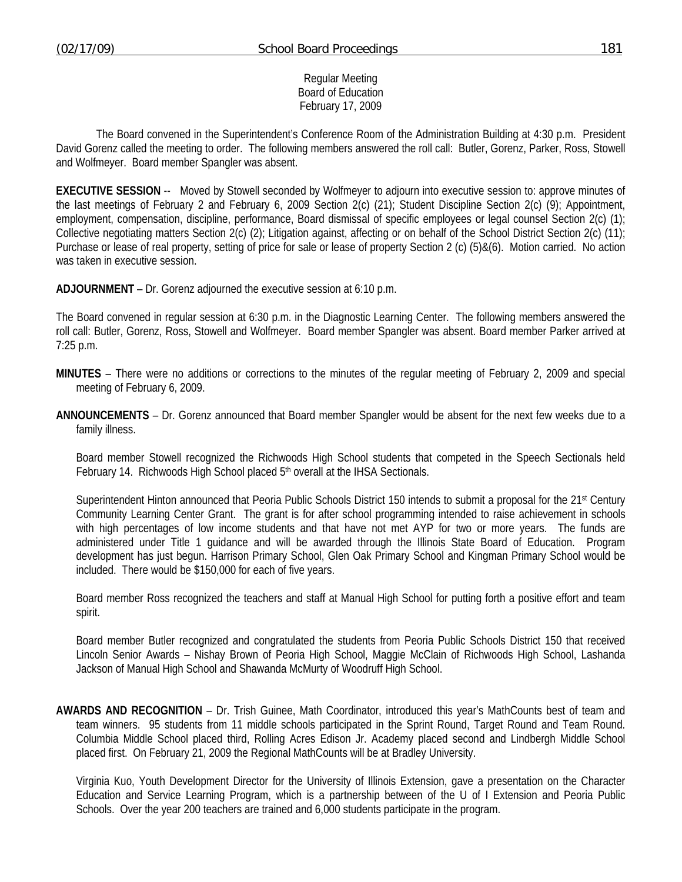## Regular Meeting Board of Education February 17, 2009

 The Board convened in the Superintendent's Conference Room of the Administration Building at 4:30 p.m. President David Gorenz called the meeting to order. The following members answered the roll call: Butler, Gorenz, Parker, Ross, Stowell and Wolfmeyer. Board member Spangler was absent.

**EXECUTIVE SESSION** -- Moved by Stowell seconded by Wolfmeyer to adjourn into executive session to: approve minutes of the last meetings of February 2 and February 6, 2009 Section 2(c) (21); Student Discipline Section 2(c) (9); Appointment, employment, compensation, discipline, performance, Board dismissal of specific employees or legal counsel Section 2(c) (1); Collective negotiating matters Section 2(c) (2); Litigation against, affecting or on behalf of the School District Section 2(c) (11); Purchase or lease of real property, setting of price for sale or lease of property Section 2 (c) (5)&(6). Motion carried. No action was taken in executive session.

**ADJOURNMENT** – Dr. Gorenz adjourned the executive session at 6:10 p.m.

The Board convened in regular session at 6:30 p.m. in the Diagnostic Learning Center. The following members answered the roll call: Butler, Gorenz, Ross, Stowell and Wolfmeyer. Board member Spangler was absent. Board member Parker arrived at 7:25 p.m.

- **MINUTES** There were no additions or corrections to the minutes of the regular meeting of February 2, 2009 and special meeting of February 6, 2009.
- **ANNOUNCEMENTS** Dr. Gorenz announced that Board member Spangler would be absent for the next few weeks due to a family illness.

 Board member Stowell recognized the Richwoods High School students that competed in the Speech Sectionals held February 14. Richwoods High School placed 5<sup>th</sup> overall at the IHSA Sectionals.

Superintendent Hinton announced that Peoria Public Schools District 150 intends to submit a proposal for the 21<sup>st</sup> Century Community Learning Center Grant. The grant is for after school programming intended to raise achievement in schools with high percentages of low income students and that have not met AYP for two or more years. The funds are administered under Title 1 guidance and will be awarded through the Illinois State Board of Education. Program development has just begun. Harrison Primary School, Glen Oak Primary School and Kingman Primary School would be included. There would be \$150,000 for each of five years.

 Board member Ross recognized the teachers and staff at Manual High School for putting forth a positive effort and team spirit.

 Board member Butler recognized and congratulated the students from Peoria Public Schools District 150 that received Lincoln Senior Awards – Nishay Brown of Peoria High School, Maggie McClain of Richwoods High School, Lashanda Jackson of Manual High School and Shawanda McMurty of Woodruff High School.

**AWARDS AND RECOGNITION** – Dr. Trish Guinee, Math Coordinator, introduced this year's MathCounts best of team and team winners. 95 students from 11 middle schools participated in the Sprint Round, Target Round and Team Round. Columbia Middle School placed third, Rolling Acres Edison Jr. Academy placed second and Lindbergh Middle School placed first. On February 21, 2009 the Regional MathCounts will be at Bradley University.

 Virginia Kuo, Youth Development Director for the University of Illinois Extension, gave a presentation on the Character Education and Service Learning Program, which is a partnership between of the U of I Extension and Peoria Public Schools. Over the year 200 teachers are trained and 6,000 students participate in the program.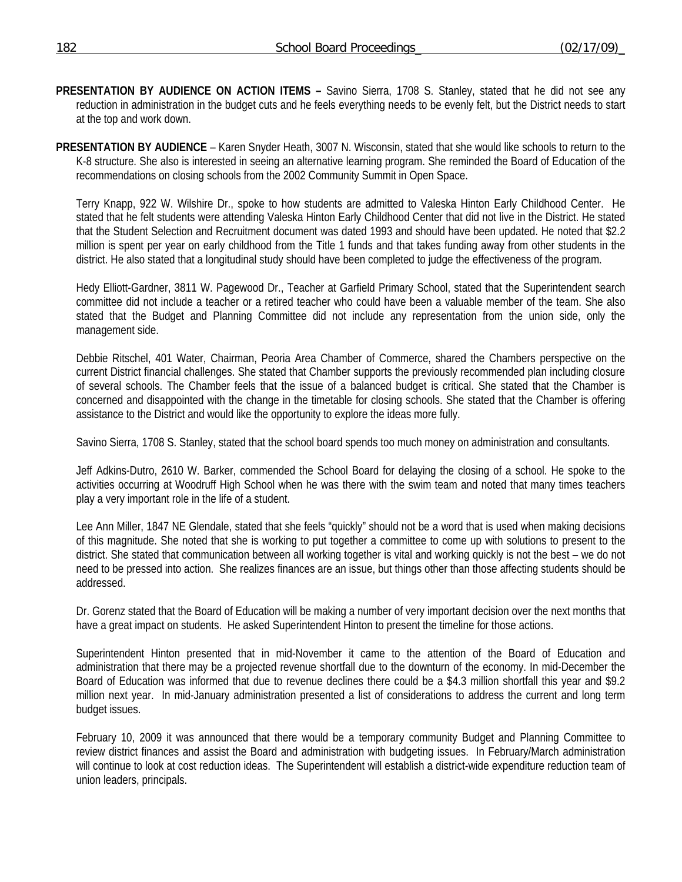- **PRESENTATION BY AUDIENCE ON ACTION ITEMS** Savino Sierra, 1708 S. Stanley, stated that he did not see any reduction in administration in the budget cuts and he feels everything needs to be evenly felt, but the District needs to start at the top and work down.
- **PRESENTATION BY AUDIENCE** Karen Snyder Heath, 3007 N. Wisconsin, stated that she would like schools to return to the K-8 structure. She also is interested in seeing an alternative learning program. She reminded the Board of Education of the recommendations on closing schools from the 2002 Community Summit in Open Space.

 Terry Knapp, 922 W. Wilshire Dr., spoke to how students are admitted to Valeska Hinton Early Childhood Center. He stated that he felt students were attending Valeska Hinton Early Childhood Center that did not live in the District. He stated that the Student Selection and Recruitment document was dated 1993 and should have been updated. He noted that \$2.2 million is spent per year on early childhood from the Title 1 funds and that takes funding away from other students in the district. He also stated that a longitudinal study should have been completed to judge the effectiveness of the program.

 Hedy Elliott-Gardner, 3811 W. Pagewood Dr., Teacher at Garfield Primary School, stated that the Superintendent search committee did not include a teacher or a retired teacher who could have been a valuable member of the team. She also stated that the Budget and Planning Committee did not include any representation from the union side, only the management side.

 Debbie Ritschel, 401 Water, Chairman, Peoria Area Chamber of Commerce, shared the Chambers perspective on the current District financial challenges. She stated that Chamber supports the previously recommended plan including closure of several schools. The Chamber feels that the issue of a balanced budget is critical. She stated that the Chamber is concerned and disappointed with the change in the timetable for closing schools. She stated that the Chamber is offering assistance to the District and would like the opportunity to explore the ideas more fully.

Savino Sierra, 1708 S. Stanley, stated that the school board spends too much money on administration and consultants.

 Jeff Adkins-Dutro, 2610 W. Barker, commended the School Board for delaying the closing of a school. He spoke to the activities occurring at Woodruff High School when he was there with the swim team and noted that many times teachers play a very important role in the life of a student.

 Lee Ann Miller, 1847 NE Glendale, stated that she feels "quickly" should not be a word that is used when making decisions of this magnitude. She noted that she is working to put together a committee to come up with solutions to present to the district. She stated that communication between all working together is vital and working quickly is not the best – we do not need to be pressed into action. She realizes finances are an issue, but things other than those affecting students should be addressed.

 Dr. Gorenz stated that the Board of Education will be making a number of very important decision over the next months that have a great impact on students. He asked Superintendent Hinton to present the timeline for those actions.

 Superintendent Hinton presented that in mid-November it came to the attention of the Board of Education and administration that there may be a projected revenue shortfall due to the downturn of the economy. In mid-December the Board of Education was informed that due to revenue declines there could be a \$4.3 million shortfall this year and \$9.2 million next year. In mid-January administration presented a list of considerations to address the current and long term budget issues.

 February 10, 2009 it was announced that there would be a temporary community Budget and Planning Committee to review district finances and assist the Board and administration with budgeting issues. In February/March administration will continue to look at cost reduction ideas. The Superintendent will establish a district-wide expenditure reduction team of union leaders, principals.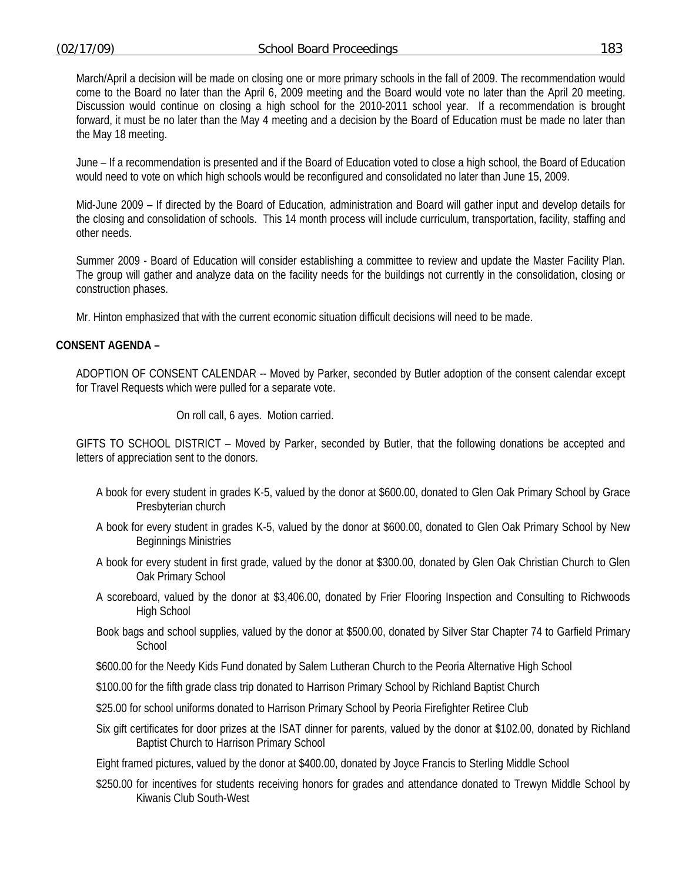March/April a decision will be made on closing one or more primary schools in the fall of 2009. The recommendation would come to the Board no later than the April 6, 2009 meeting and the Board would vote no later than the April 20 meeting. Discussion would continue on closing a high school for the 2010-2011 school year. If a recommendation is brought forward, it must be no later than the May 4 meeting and a decision by the Board of Education must be made no later than the May 18 meeting.

 June – If a recommendation is presented and if the Board of Education voted to close a high school, the Board of Education would need to vote on which high schools would be reconfigured and consolidated no later than June 15, 2009.

 Mid-June 2009 – If directed by the Board of Education, administration and Board will gather input and develop details for the closing and consolidation of schools. This 14 month process will include curriculum, transportation, facility, staffing and other needs.

 Summer 2009 - Board of Education will consider establishing a committee to review and update the Master Facility Plan. The group will gather and analyze data on the facility needs for the buildings not currently in the consolidation, closing or construction phases.

Mr. Hinton emphasized that with the current economic situation difficult decisions will need to be made.

## **CONSENT AGENDA –**

ADOPTION OF CONSENT CALENDAR -- Moved by Parker, seconded by Butler adoption of the consent calendar except for Travel Requests which were pulled for a separate vote.

On roll call, 6 ayes. Motion carried.

GIFTS TO SCHOOL DISTRICT – Moved by Parker, seconded by Butler, that the following donations be accepted and letters of appreciation sent to the donors.

- A book for every student in grades K-5, valued by the donor at \$600.00, donated to Glen Oak Primary School by Grace Presbyterian church
- A book for every student in grades K-5, valued by the donor at \$600.00, donated to Glen Oak Primary School by New Beginnings Ministries
- A book for every student in first grade, valued by the donor at \$300.00, donated by Glen Oak Christian Church to Glen Oak Primary School
- A scoreboard, valued by the donor at \$3,406.00, donated by Frier Flooring Inspection and Consulting to Richwoods High School
- Book bags and school supplies, valued by the donor at \$500.00, donated by Silver Star Chapter 74 to Garfield Primary **School**
- \$600.00 for the Needy Kids Fund donated by Salem Lutheran Church to the Peoria Alternative High School
- \$100.00 for the fifth grade class trip donated to Harrison Primary School by Richland Baptist Church
- \$25.00 for school uniforms donated to Harrison Primary School by Peoria Firefighter Retiree Club
- Six gift certificates for door prizes at the ISAT dinner for parents, valued by the donor at \$102.00, donated by Richland Baptist Church to Harrison Primary School

Eight framed pictures, valued by the donor at \$400.00, donated by Joyce Francis to Sterling Middle School

\$250.00 for incentives for students receiving honors for grades and attendance donated to Trewyn Middle School by Kiwanis Club South-West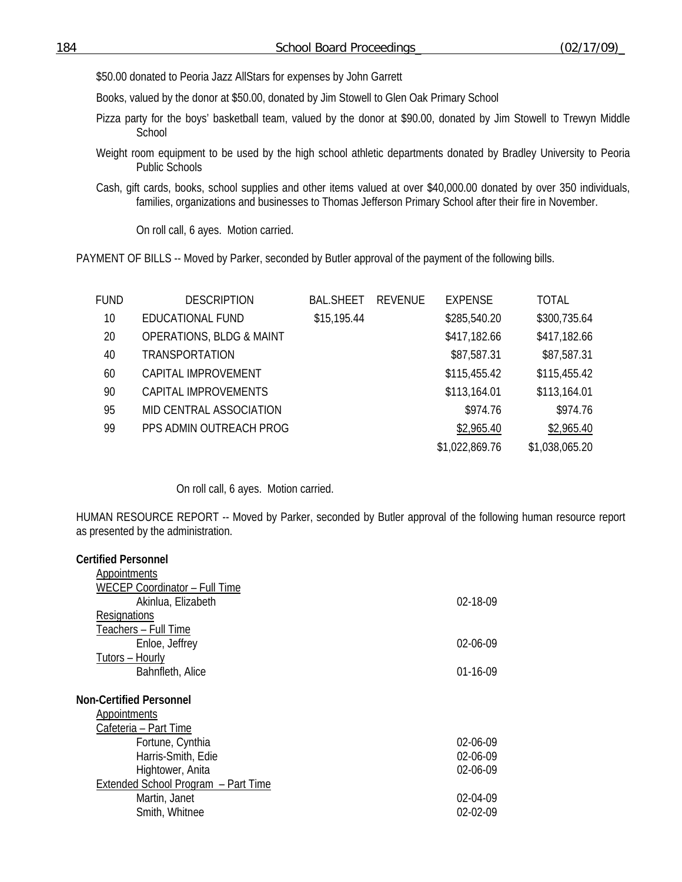\$50.00 donated to Peoria Jazz AllStars for expenses by John Garrett

Books, valued by the donor at \$50.00, donated by Jim Stowell to Glen Oak Primary School

- Pizza party for the boys' basketball team, valued by the donor at \$90.00, donated by Jim Stowell to Trewyn Middle School
- Weight room equipment to be used by the high school athletic departments donated by Bradley University to Peoria Public Schools
- Cash, gift cards, books, school supplies and other items valued at over \$40,000.00 donated by over 350 individuals, families, organizations and businesses to Thomas Jefferson Primary School after their fire in November.

On roll call, 6 ayes. Motion carried.

PAYMENT OF BILLS -- Moved by Parker, seconded by Butler approval of the payment of the following bills.

| FUND | <b>DESCRIPTION</b>                  | <b>BAL.SHEET</b> | REVENUE | <b>EXPENSE</b> | TOTAL          |
|------|-------------------------------------|------------------|---------|----------------|----------------|
| 10   | EDUCATIONAL FUND                    | \$15,195.44      |         | \$285,540.20   | \$300,735.64   |
| 20   | <b>OPERATIONS, BLDG &amp; MAINT</b> |                  |         | \$417,182.66   | \$417,182.66   |
| 40   | <b>TRANSPORTATION</b>               |                  |         | \$87,587.31    | \$87,587.31    |
| 60   | CAPITAL IMPROVEMENT                 |                  |         | \$115,455.42   | \$115,455.42   |
| 90   | CAPITAL IMPROVEMENTS                |                  |         | \$113,164.01   | \$113,164.01   |
| 95   | MID CENTRAL ASSOCIATION             |                  |         | \$974.76       | \$974.76       |
| 99   | PPS ADMIN OUTREACH PROG             |                  |         | \$2,965.40     | \$2,965.40     |
|      |                                     |                  |         | \$1,022,869.76 | \$1,038,065.20 |

On roll call, 6 ayes. Motion carried.

HUMAN RESOURCE REPORT -- Moved by Parker, seconded by Butler approval of the following human resource report as presented by the administration.

| $02 - 18 - 09$ |
|----------------|
|                |
|                |
| $02-06-09$     |
|                |
| $01-16-09$     |
|                |
|                |
|                |
|                |
| 02-06-09       |
| 02-06-09       |
| 02-06-09       |
|                |
| 02-04-09       |
| $02 - 02 - 09$ |
|                |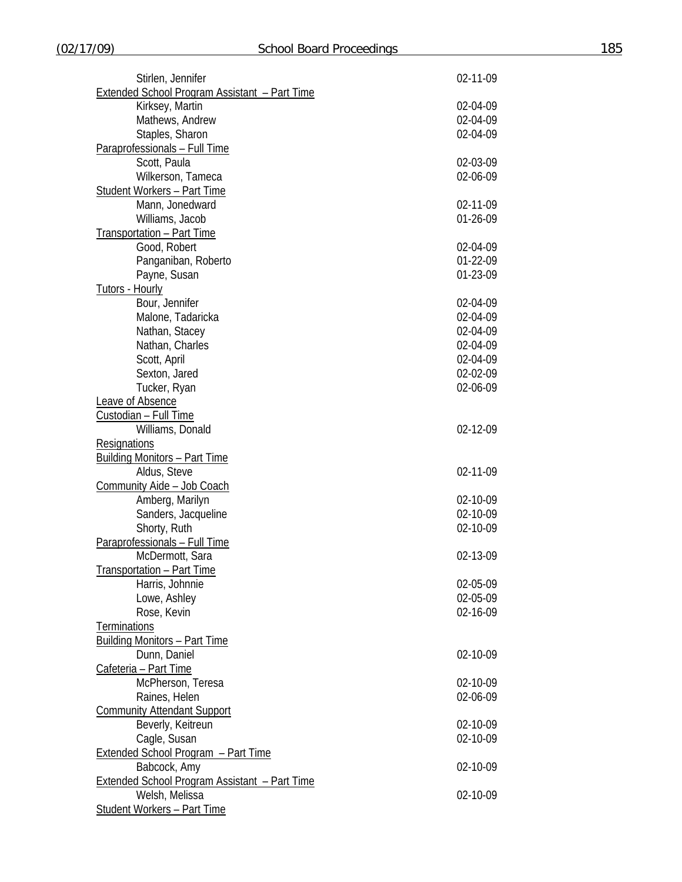| Stirlen, Jennifer                                    | 02-11-09 |
|------------------------------------------------------|----------|
| <b>Extended School Program Assistant - Part Time</b> |          |
| Kirksey, Martin                                      | 02-04-09 |
| Mathews, Andrew                                      | 02-04-09 |
| Staples, Sharon                                      | 02-04-09 |
| Paraprofessionals - Full Time                        |          |
| Scott, Paula                                         | 02-03-09 |
| Wilkerson, Tameca                                    | 02-06-09 |
| <b>Student Workers - Part Time</b>                   |          |
| Mann, Jonedward                                      | 02-11-09 |
| Williams, Jacob                                      | 01-26-09 |
|                                                      |          |
| <b>Transportation - Part Time</b>                    |          |
| Good, Robert                                         | 02-04-09 |
| Panganiban, Roberto                                  | 01-22-09 |
| Payne, Susan                                         | 01-23-09 |
| <b>Tutors - Hourly</b>                               |          |
| Bour, Jennifer                                       | 02-04-09 |
| Malone, Tadaricka                                    | 02-04-09 |
| Nathan, Stacey                                       | 02-04-09 |
| Nathan, Charles                                      | 02-04-09 |
| Scott, April                                         | 02-04-09 |
| Sexton, Jared                                        | 02-02-09 |
| Tucker, Ryan                                         | 02-06-09 |
| <b>Leave of Absence</b>                              |          |
| Custodian - Full Time                                |          |
| Williams, Donald                                     | 02-12-09 |
| <b>Resignations</b>                                  |          |
| <b>Building Monitors - Part Time</b>                 |          |
| Aldus, Steve                                         | 02-11-09 |
| Community Aide - Job Coach                           |          |
|                                                      |          |
| Amberg, Marilyn                                      | 02-10-09 |
| Sanders, Jacqueline                                  | 02-10-09 |
| Shorty, Ruth                                         | 02-10-09 |
| Paraprofessionals - Full Time                        |          |
| McDermott, Sara                                      | 02-13-09 |
| <b>Transportation - Part Time</b>                    |          |
| Harris, Johnnie                                      | 02-05-09 |
| Lowe, Ashley                                         | 02-05-09 |
| Rose, Kevin                                          | 02-16-09 |
| <b>Terminations</b>                                  |          |
| <b>Building Monitors - Part Time</b>                 |          |
| Dunn, Daniel                                         | 02-10-09 |
| Cafeteria - Part Time                                |          |
| McPherson, Teresa                                    | 02-10-09 |
| Raines, Helen                                        | 02-06-09 |
| <b>Community Attendant Support</b>                   |          |
| Beverly, Keitreun                                    | 02-10-09 |
| Cagle, Susan                                         | 02-10-09 |
|                                                      |          |
| <b>Extended School Program - Part Time</b>           |          |
| Babcock, Amy                                         | 02-10-09 |
| <b>Extended School Program Assistant - Part Time</b> |          |
| Welsh, Melissa                                       | 02-10-09 |
| <b>Student Workers - Part Time</b>                   |          |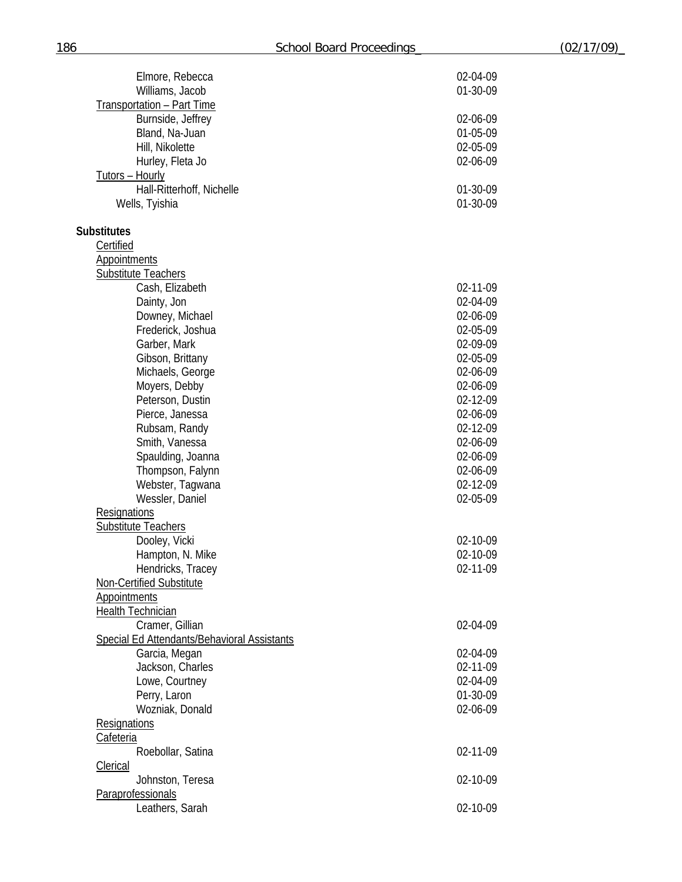| Elmore, Rebecca                               | 02-04-09 |
|-----------------------------------------------|----------|
| Williams, Jacob                               | 01-30-09 |
| Transportation - Part Time                    |          |
| Burnside, Jeffrey                             | 02-06-09 |
| Bland, Na-Juan                                | 01-05-09 |
| Hill, Nikolette                               | 02-05-09 |
| Hurley, Fleta Jo                              | 02-06-09 |
| <u>Tutors – Hourly</u>                        |          |
| Hall-Ritterhoff, Nichelle                     | 01-30-09 |
| Wells, Tyishia                                | 01-30-09 |
| <b>Substitutes</b>                            |          |
| Certified                                     |          |
| <b>Appointments</b>                           |          |
| <b>Substitute Teachers</b>                    |          |
| Cash, Elizabeth                               | 02-11-09 |
| Dainty, Jon                                   | 02-04-09 |
| Downey, Michael                               | 02-06-09 |
| Frederick, Joshua                             | 02-05-09 |
| Garber, Mark                                  | 02-09-09 |
| Gibson, Brittany                              | 02-05-09 |
| Michaels, George                              | 02-06-09 |
| Moyers, Debby                                 | 02-06-09 |
| Peterson, Dustin                              | 02-12-09 |
| Pierce, Janessa                               | 02-06-09 |
| Rubsam, Randy                                 | 02-12-09 |
| Smith, Vanessa                                | 02-06-09 |
| Spaulding, Joanna                             | 02-06-09 |
| Thompson, Falynn                              | 02-06-09 |
| Webster, Tagwana                              | 02-12-09 |
| Wessler, Daniel                               | 02-05-09 |
| Resignations                                  |          |
| <b>Substitute Teachers</b>                    |          |
| Dooley, Vicki                                 | 02-10-09 |
| Hampton, N. Mike                              | 02-10-09 |
| Hendricks, Tracey<br>Non-Certified Substitute | 02-11-09 |
| <b>Appointments</b>                           |          |
| <b>Health Technician</b>                      |          |
| Cramer, Gillian                               | 02-04-09 |
| Special Ed Attendants/Behavioral Assistants   |          |
| Garcia, Megan                                 | 02-04-09 |
| Jackson, Charles                              | 02-11-09 |
| Lowe, Courtney                                | 02-04-09 |
| Perry, Laron                                  | 01-30-09 |
| Wozniak, Donald                               | 02-06-09 |
| <b>Resignations</b>                           |          |
| Cafeteria                                     |          |
| Roebollar, Satina                             | 02-11-09 |
| <b>Clerical</b>                               |          |
| Johnston, Teresa                              | 02-10-09 |
| Paraprofessionals                             |          |
| Leathers, Sarah                               | 02-10-09 |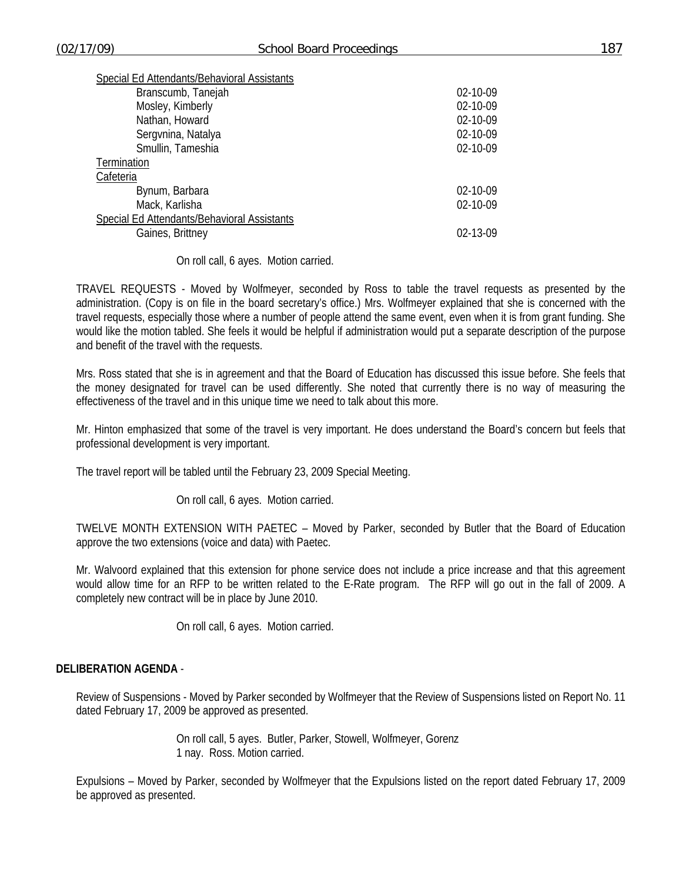| Special Ed Attendants/Behavioral Assistants |                |
|---------------------------------------------|----------------|
| Branscumb, Tanejah                          | 02-10-09       |
| Mosley, Kimberly                            | 02-10-09       |
| Nathan, Howard                              | 02-10-09       |
| Sergvnina, Natalya                          | 02-10-09       |
| Smullin, Tameshia                           | 02-10-09       |
| Termination                                 |                |
| Cafeteria                                   |                |
| Bynum, Barbara                              | $02 - 10 - 09$ |
| Mack, Karlisha                              | 02-10-09       |
| Special Ed Attendants/Behavioral Assistants |                |
| Gaines, Brittney                            | $02 - 13 - 09$ |

On roll call, 6 ayes. Motion carried.

TRAVEL REQUESTS - Moved by Wolfmeyer, seconded by Ross to table the travel requests as presented by the administration. (Copy is on file in the board secretary's office.) Mrs. Wolfmeyer explained that she is concerned with the travel requests, especially those where a number of people attend the same event, even when it is from grant funding. She would like the motion tabled. She feels it would be helpful if administration would put a separate description of the purpose and benefit of the travel with the requests.

Mrs. Ross stated that she is in agreement and that the Board of Education has discussed this issue before. She feels that the money designated for travel can be used differently. She noted that currently there is no way of measuring the effectiveness of the travel and in this unique time we need to talk about this more.

Mr. Hinton emphasized that some of the travel is very important. He does understand the Board's concern but feels that professional development is very important.

The travel report will be tabled until the February 23, 2009 Special Meeting.

On roll call, 6 ayes. Motion carried.

TWELVE MONTH EXTENSION WITH PAETEC – Moved by Parker, seconded by Butler that the Board of Education approve the two extensions (voice and data) with Paetec.

Mr. Walvoord explained that this extension for phone service does not include a price increase and that this agreement would allow time for an RFP to be written related to the E-Rate program. The RFP will go out in the fall of 2009. A completely new contract will be in place by June 2010.

On roll call, 6 ayes. Motion carried.

## **DELIBERATION AGENDA** -

Review of Suspensions - Moved by Parker seconded by Wolfmeyer that the Review of Suspensions listed on Report No. 11 dated February 17, 2009 be approved as presented.

> On roll call, 5 ayes. Butler, Parker, Stowell, Wolfmeyer, Gorenz 1 nay. Ross. Motion carried.

Expulsions – Moved by Parker, seconded by Wolfmeyer that the Expulsions listed on the report dated February 17, 2009 be approved as presented.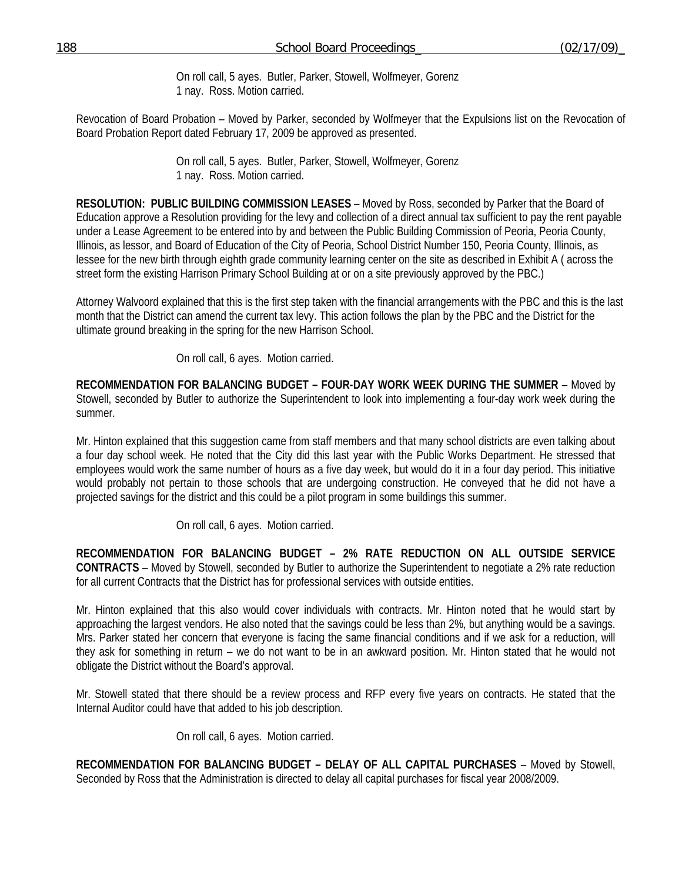On roll call, 5 ayes. Butler, Parker, Stowell, Wolfmeyer, Gorenz 1 nay. Ross. Motion carried.

Revocation of Board Probation – Moved by Parker, seconded by Wolfmeyer that the Expulsions list on the Revocation of Board Probation Report dated February 17, 2009 be approved as presented.

> On roll call, 5 ayes. Butler, Parker, Stowell, Wolfmeyer, Gorenz 1 nay. Ross. Motion carried.

**RESOLUTION: PUBLIC BUILDING COMMISSION LEASES** – Moved by Ross, seconded by Parker that the Board of Education approve a Resolution providing for the levy and collection of a direct annual tax sufficient to pay the rent payable under a Lease Agreement to be entered into by and between the Public Building Commission of Peoria, Peoria County, Illinois, as lessor, and Board of Education of the City of Peoria, School District Number 150, Peoria County, Illinois, as lessee for the new birth through eighth grade community learning center on the site as described in Exhibit A ( across the street form the existing Harrison Primary School Building at or on a site previously approved by the PBC.)

 Attorney Walvoord explained that this is the first step taken with the financial arrangements with the PBC and this is the last month that the District can amend the current tax levy. This action follows the plan by the PBC and the District for the ultimate ground breaking in the spring for the new Harrison School.

On roll call, 6 ayes. Motion carried.

**RECOMMENDATION FOR BALANCING BUDGET – FOUR-DAY WORK WEEK DURING THE SUMMER** – Moved by Stowell, seconded by Butler to authorize the Superintendent to look into implementing a four-day work week during the summer.

Mr. Hinton explained that this suggestion came from staff members and that many school districts are even talking about a four day school week. He noted that the City did this last year with the Public Works Department. He stressed that employees would work the same number of hours as a five day week, but would do it in a four day period. This initiative would probably not pertain to those schools that are undergoing construction. He conveyed that he did not have a projected savings for the district and this could be a pilot program in some buildings this summer.

On roll call, 6 ayes. Motion carried.

**RECOMMENDATION FOR BALANCING BUDGET – 2% RATE REDUCTION ON ALL OUTSIDE SERVICE CONTRACTS** – Moved by Stowell, seconded by Butler to authorize the Superintendent to negotiate a 2% rate reduction for all current Contracts that the District has for professional services with outside entities.

Mr. Hinton explained that this also would cover individuals with contracts. Mr. Hinton noted that he would start by approaching the largest vendors. He also noted that the savings could be less than 2%, but anything would be a savings. Mrs. Parker stated her concern that everyone is facing the same financial conditions and if we ask for a reduction, will they ask for something in return – we do not want to be in an awkward position. Mr. Hinton stated that he would not obligate the District without the Board's approval.

Mr. Stowell stated that there should be a review process and RFP every five years on contracts. He stated that the Internal Auditor could have that added to his job description.

On roll call, 6 ayes. Motion carried.

**RECOMMENDATION FOR BALANCING BUDGET – DELAY OF ALL CAPITAL PURCHASES** – Moved by Stowell, Seconded by Ross that the Administration is directed to delay all capital purchases for fiscal year 2008/2009.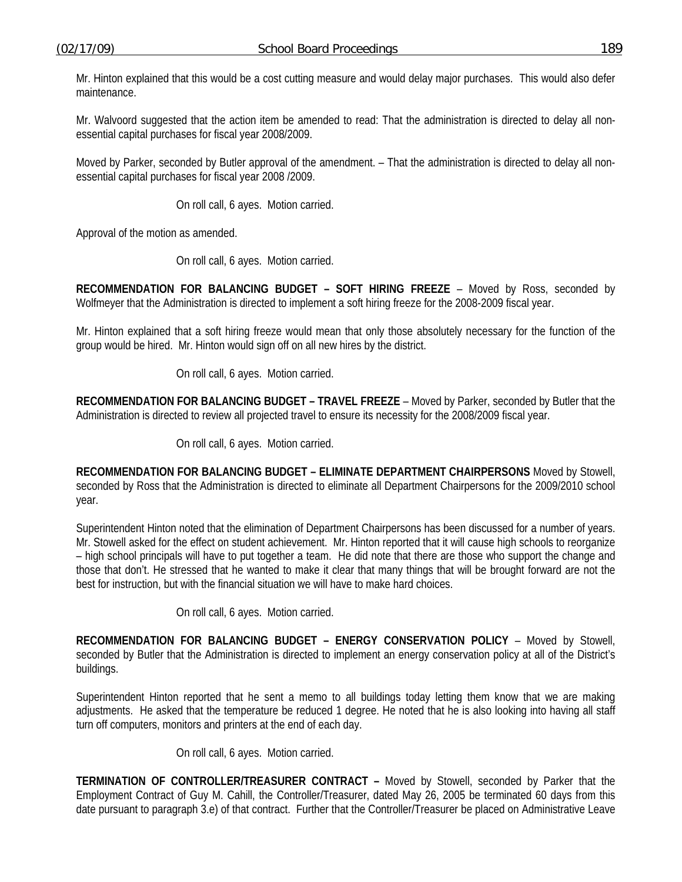Mr. Hinton explained that this would be a cost cutting measure and would delay major purchases. This would also defer maintenance.

Mr. Walvoord suggested that the action item be amended to read: That the administration is directed to delay all nonessential capital purchases for fiscal year 2008/2009.

Moved by Parker, seconded by Butler approval of the amendment. – That the administration is directed to delay all nonessential capital purchases for fiscal year 2008 /2009.

On roll call, 6 ayes. Motion carried.

Approval of the motion as amended.

On roll call, 6 ayes. Motion carried.

**RECOMMENDATION FOR BALANCING BUDGET – SOFT HIRING FREEZE** – Moved by Ross, seconded by Wolfmeyer that the Administration is directed to implement a soft hiring freeze for the 2008-2009 fiscal year.

Mr. Hinton explained that a soft hiring freeze would mean that only those absolutely necessary for the function of the group would be hired. Mr. Hinton would sign off on all new hires by the district.

On roll call, 6 ayes. Motion carried.

**RECOMMENDATION FOR BALANCING BUDGET – TRAVEL FREEZE** – Moved by Parker, seconded by Butler that the Administration is directed to review all projected travel to ensure its necessity for the 2008/2009 fiscal year.

On roll call, 6 ayes. Motion carried.

**RECOMMENDATION FOR BALANCING BUDGET – ELIMINATE DEPARTMENT CHAIRPERSONS** Moved by Stowell, seconded by Ross that the Administration is directed to eliminate all Department Chairpersons for the 2009/2010 school year.

Superintendent Hinton noted that the elimination of Department Chairpersons has been discussed for a number of years. Mr. Stowell asked for the effect on student achievement. Mr. Hinton reported that it will cause high schools to reorganize – high school principals will have to put together a team. He did note that there are those who support the change and those that don't. He stressed that he wanted to make it clear that many things that will be brought forward are not the best for instruction, but with the financial situation we will have to make hard choices.

On roll call, 6 ayes. Motion carried.

**RECOMMENDATION FOR BALANCING BUDGET – ENERGY CONSERVATION POLICY** – Moved by Stowell, seconded by Butler that the Administration is directed to implement an energy conservation policy at all of the District's buildings.

Superintendent Hinton reported that he sent a memo to all buildings today letting them know that we are making adjustments. He asked that the temperature be reduced 1 degree. He noted that he is also looking into having all staff turn off computers, monitors and printers at the end of each day.

On roll call, 6 ayes. Motion carried.

**TERMINATION OF CONTROLLER/TREASURER CONTRACT –** Moved by Stowell, seconded by Parker that the Employment Contract of Guy M. Cahill, the Controller/Treasurer, dated May 26, 2005 be terminated 60 days from this date pursuant to paragraph 3.e) of that contract. Further that the Controller/Treasurer be placed on Administrative Leave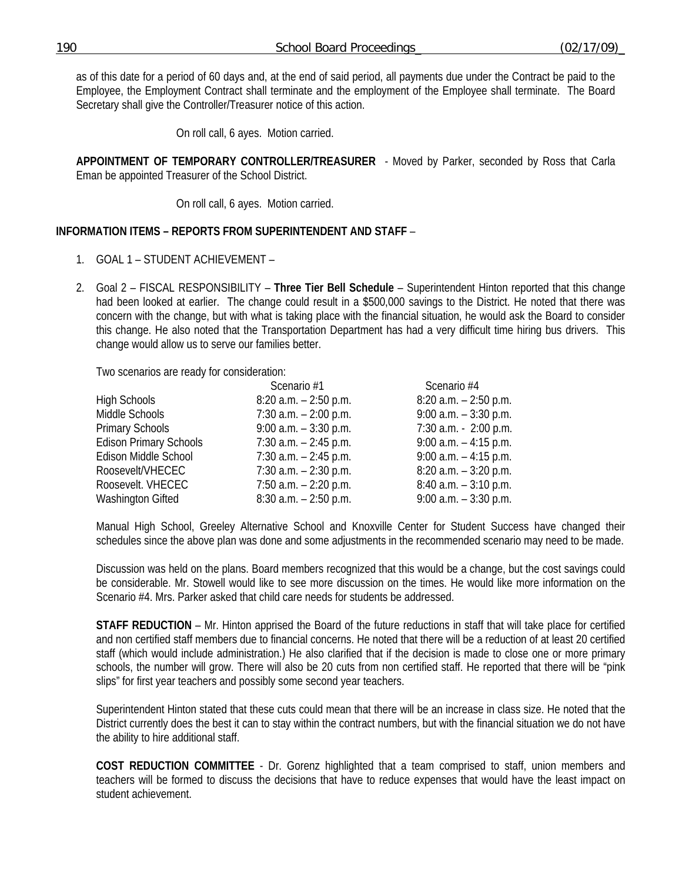as of this date for a period of 60 days and, at the end of said period, all payments due under the Contract be paid to the Employee, the Employment Contract shall terminate and the employment of the Employee shall terminate. The Board Secretary shall give the Controller/Treasurer notice of this action.

On roll call, 6 ayes. Motion carried.

**APPOINTMENT OF TEMPORARY CONTROLLER/TREASURER** - Moved by Parker, seconded by Ross that Carla Eman be appointed Treasurer of the School District.

On roll call, 6 ayes. Motion carried.

## **INFORMATION ITEMS – REPORTS FROM SUPERINTENDENT AND STAFF** –

- 1. GOAL 1 STUDENT ACHIEVEMENT –
- 2. Goal 2 FISCAL RESPONSIBILITY **Three Tier Bell Schedule** Superintendent Hinton reported that this change had been looked at earlier. The change could result in a \$500,000 savings to the District. He noted that there was concern with the change, but with what is taking place with the financial situation, he would ask the Board to consider this change. He also noted that the Transportation Department has had a very difficult time hiring bus drivers. This change would allow us to serve our families better.

Two scenarios are ready for consideration:

|                               | Scenario #1              | Scenario #4              |
|-------------------------------|--------------------------|--------------------------|
| High Schools                  | $8:20$ a.m. $-2:50$ p.m. | $8:20$ a.m. $-2:50$ p.m. |
| Middle Schools                | 7:30 $a.m. - 2:00$ p.m.  | 9:00 $a.m. - 3:30$ p.m.  |
| <b>Primary Schools</b>        | $9:00$ a.m. $-3:30$ p.m. | 7:30 a.m. - 2:00 p.m.    |
| <b>Edison Primary Schools</b> | $7:30$ a.m. $-2:45$ p.m. | $9:00$ a.m. $-4:15$ p.m. |
| Edison Middle School          | 7:30 $a.m. - 2:45$ p.m.  | $9:00$ a.m. $-4:15$ p.m. |
| Roosevelt/VHECEC              | $7:30$ a.m. $-2:30$ p.m. | $8:20$ a.m. $-3:20$ p.m. |
| Roosevelt. VHECEC             | $7:50$ a.m. $-2:20$ p.m. | $8:40$ a.m. $-3:10$ p.m. |
| <b>Washington Gifted</b>      | $8:30$ a.m. $-2:50$ p.m. | $9:00$ a.m. $-3:30$ p.m. |

Manual High School, Greeley Alternative School and Knoxville Center for Student Success have changed their schedules since the above plan was done and some adjustments in the recommended scenario may need to be made.

Discussion was held on the plans. Board members recognized that this would be a change, but the cost savings could be considerable. Mr. Stowell would like to see more discussion on the times. He would like more information on the Scenario #4. Mrs. Parker asked that child care needs for students be addressed.

**STAFF REDUCTION** – Mr. Hinton apprised the Board of the future reductions in staff that will take place for certified and non certified staff members due to financial concerns. He noted that there will be a reduction of at least 20 certified staff (which would include administration.) He also clarified that if the decision is made to close one or more primary schools, the number will grow. There will also be 20 cuts from non certified staff. He reported that there will be "pink slips" for first year teachers and possibly some second year teachers.

Superintendent Hinton stated that these cuts could mean that there will be an increase in class size. He noted that the District currently does the best it can to stay within the contract numbers, but with the financial situation we do not have the ability to hire additional staff.

**COST REDUCTION COMMITTEE** - Dr. Gorenz highlighted that a team comprised to staff, union members and teachers will be formed to discuss the decisions that have to reduce expenses that would have the least impact on student achievement.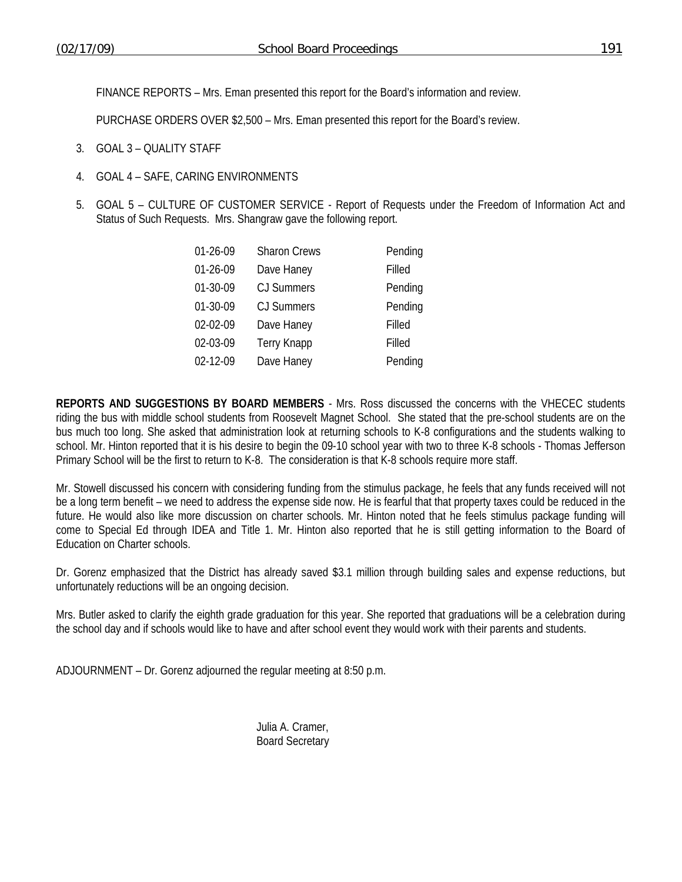FINANCE REPORTS – Mrs. Eman presented this report for the Board's information and review.

PURCHASE ORDERS OVER \$2,500 – Mrs. Eman presented this report for the Board's review.

- 3. GOAL 3 QUALITY STAFF
- 4. GOAL 4 SAFE, CARING ENVIRONMENTS
- 5. GOAL 5 CULTURE OF CUSTOMER SERVICE Report of Requests under the Freedom of Information Act and Status of Such Requests. Mrs. Shangraw gave the following report.

| 01-26-09 | <b>Sharon Crews</b> | Pending |
|----------|---------------------|---------|
| 01-26-09 | Dave Haney          | Filled  |
| 01-30-09 | CJ Summers          | Pending |
| 01-30-09 | CJ Summers          | Pending |
| 02-02-09 | Dave Haney          | Filled  |
| 02-03-09 | <b>Terry Knapp</b>  | Filled  |
| 02-12-09 | Dave Haney          | Pending |
|          |                     |         |

**REPORTS AND SUGGESTIONS BY BOARD MEMBERS** - Mrs. Ross discussed the concerns with the VHECEC students riding the bus with middle school students from Roosevelt Magnet School. She stated that the pre-school students are on the bus much too long. She asked that administration look at returning schools to K-8 configurations and the students walking to school. Mr. Hinton reported that it is his desire to begin the 09-10 school year with two to three K-8 schools - Thomas Jefferson Primary School will be the first to return to K-8. The consideration is that K-8 schools require more staff.

Mr. Stowell discussed his concern with considering funding from the stimulus package, he feels that any funds received will not be a long term benefit – we need to address the expense side now. He is fearful that that property taxes could be reduced in the future. He would also like more discussion on charter schools. Mr. Hinton noted that he feels stimulus package funding will come to Special Ed through IDEA and Title 1. Mr. Hinton also reported that he is still getting information to the Board of Education on Charter schools.

Dr. Gorenz emphasized that the District has already saved \$3.1 million through building sales and expense reductions, but unfortunately reductions will be an ongoing decision.

Mrs. Butler asked to clarify the eighth grade graduation for this year. She reported that graduations will be a celebration during the school day and if schools would like to have and after school event they would work with their parents and students.

ADJOURNMENT – Dr. Gorenz adjourned the regular meeting at 8:50 p.m.

 Julia A. Cramer, Board Secretary